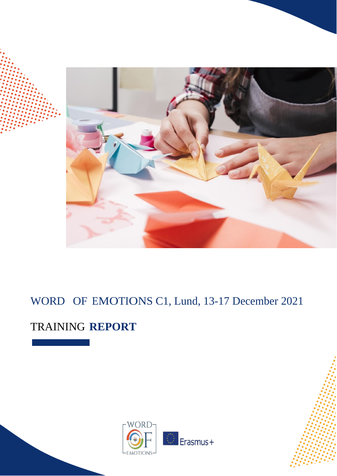

# WORD OF EMOTIONS C1, Lund, 13-17 December 2021

# TRAINING **REPORT**

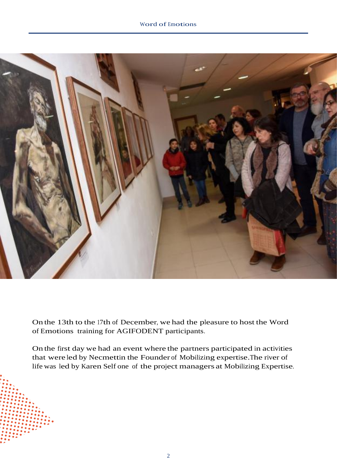

On the 13th to the 17th of December, we had the pleasure to host the Word of Emotions training for AGIFODENT participants.

On the first day we had an event where the partners participated in activities that were led by Necmettin the Founder of Mobilizing expertise.The river of life was led by Karen Self one of the project managers at Mobilizing Expertise.

2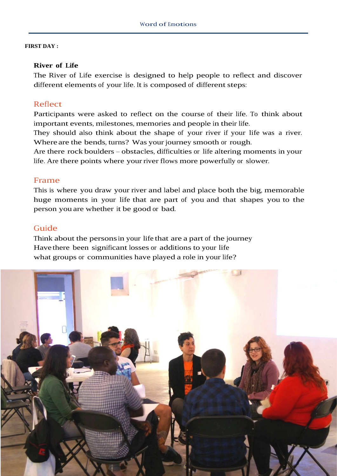#### **FIRST DAY :**

#### **River of Life**

The River of Life exercise is designed to help people to reflect and discover different elements of your life. It is composed of different steps:

## Reflect

Participants were asked to reflect on the course of their life. To think about important events, milestones, memories and people in their life.

They should also think about the shape of your river if your life was a river. Where are the bends, turns? Was your journey smooth or rough.

Are there rock boulders – obstacles, difficulties or life altering moments in your life. Are there points where your river flows more powerfully or slower.

#### Frame

This is where you draw your river and label and place both the big, memorable huge moments in your life that are part of you and that shapes you to the person you are whether it be good or bad.

### Guide

Think about the personsin your life that are a part of the journey Have there been significant losses or additions to your life what groups or communities have played a role in your life?

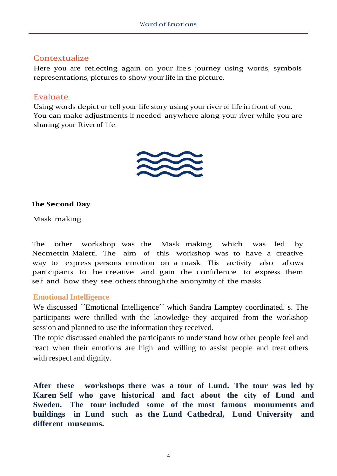# Contextualize

Here you are reflecting again on your life's journey using words, symbols representations, pictures to show yourlife in the picture.

# Evaluate

Using words depict or tell your life story using your river of life in front of you. You can make adjustments if needed anywhere along your river while you are sharing your River of life.



### **The Second Day**

Mask making

The other workshop was the Mask making which was led by Necmettin Maletti. The aim of this workshop was to have a creative way to express persons emotion on a mask. This activity also allows participants to be creative and gain the confidence to express them self and how they see others through the anonymity of the masks

# **Emotional Intelligence**

We discussed ´Emotional Intelligence´´ which Sandra Lamptey coordinated. s. The participants were thrilled with the knowledge they acquired from the workshop session and planned to use the information they received.

The topic discussed enabled the participants to understand how other people feel and react when their emotions are high and willing to assist people and treat others with respect and dignity.

**After these workshops there was a tour of Lund. The tour was led by Karen Self who gave historical and fact about the city of Lund and Sweden. The tour included some of the most famous monuments and buildings in Lund such as the Lund Cathedral, Lund University and different museums.**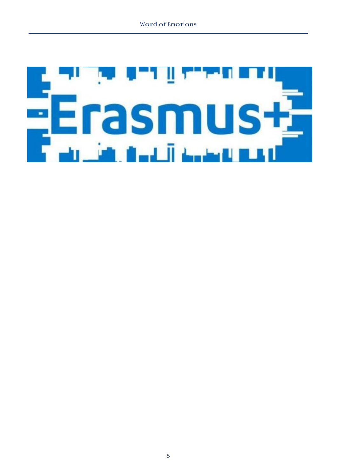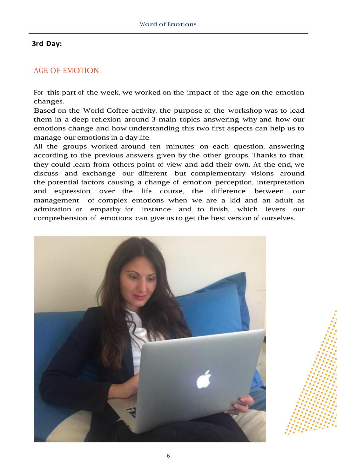## **3rd Day:**

## AGE OF EMOTION

For this part of the week, we worked on the impact of the age on the emotion changes.

Based on the World Coffee activity, the purpose of the workshop was to lead them in a deep reflexion around <sup>3</sup> main topics answering why and how our emotions change and how understanding this two first aspects can help us to manage our emotions in a day life.

All the groups worked around ten minutes on each question, answering according to the previous answers given by the other groups. Thanks to that, they could learn from others point of view and add their own. At the end, we discuss and exchange our different but complementary visions around the potential factors causing a change of emotion perception, interpretation and expression over the life course, the difference between our management of complex emotions when we are a kid and an adult as admiration or empathy for instance and to finish, which levers our comprehension of emotions can give usto get the best version of ourselves.

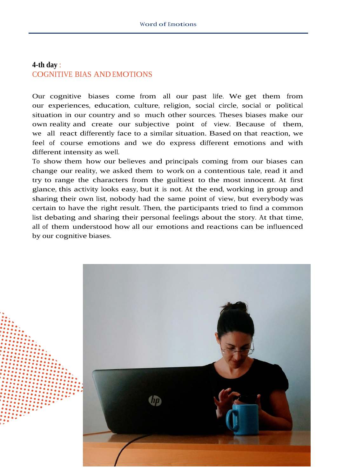# **4-th day** : COGNITIVE BIAS AND EMOTIONS

Our cognitive biases come from all our past life. We get them from our experiences, education, culture, religion, social circle, social or political situation in our country and so much other sources. Theses biases make our own reality and create our subjective point of view. Because of them, we all react differently face to a similar situation. Based on that reaction, we feel of course emotions and we do express different emotions and with different intensity as well.

To show them how our believes and principals coming from our biases can change our reality, we asked them to work on a contentious tale, read it and try to range the characters from the guiltiest to the most innocent. At first glance, this activity looks easy, but it is not. At the end, working in group and sharing their own list, nobody had the same point of view, but everybody was certain to have the right result. Then, the participants tried to find a common list debating and sharing their personal feelings about the story. At that time, all of them understood how all our emotions and reactions can be influenced by our cognitive biases.